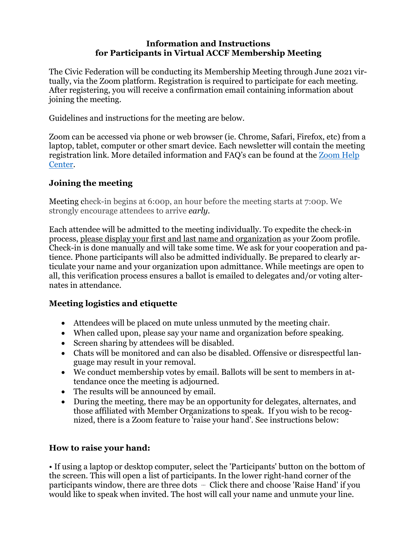## **Information and Instructions for Participants in Virtual ACCF Membership Meeting**

The Civic Federation will be conducting its Membership Meeting through June 2021 virtually, via the Zoom platform. Registration is required to participate for each meeting. After registering, you will receive a confirmation email containing information about joining the meeting.

Guidelines and instructions for the meeting are below.

Zoom can be accessed via phone or web browser (ie. Chrome, Safari, Firefox, etc) from a laptop, tablet, computer or other smart device. Each newsletter will contain the meeting registration link. More detailed information and FAQ's can be found at the [Zoom](https://support.zoom.us/hc/en-us) Help [Center.](https://support.zoom.us/hc/en-us)

#### **Joining the meeting**

Meeting check-in begins at 6:00p, an hour before the meeting starts at 7:00p. We strongly encourage attendees to arrive *early.*

Each attendee will be admitted to the meeting individually. To expedite the check-in process, please display your first and last name and organization as your Zoom profile. Check-in is done manually and will take some time. We ask for your cooperation and patience. Phone participants will also be admitted individually. Be prepared to clearly articulate your name and your organization upon admittance. While meetings are open to all, this verification process ensures a ballot is emailed to delegates and/or voting alternates in attendance.

### **Meeting logistics and etiquette**

- Attendees will be placed on mute unless unmuted by the meeting chair.
- When called upon, please say your name and organization before speaking.
- Screen sharing by attendees will be disabled.
- Chats will be monitored and can also be disabled. Offensive or disrespectful language may result in your removal.
- We conduct membership votes by email. Ballots will be sent to members in attendance once the meeting is adjourned.
- The results will be announced by email.
- During the meeting, there may be an opportunity for delegates, alternates, and those affiliated with Member Organizations to speak. If you wish to be recognized, there is a Zoom feature to 'raise your hand'. See instructions below:

### **How to raise your hand:**

• If using a laptop or desktop computer, select the 'Participants' button on the bottom of the screen. This will open a list of participants. In the lower right-hand corner of the participants window, there are three dots … Click there and choose 'Raise Hand' if you would like to speak when invited. The host will call your name and unmute your line.